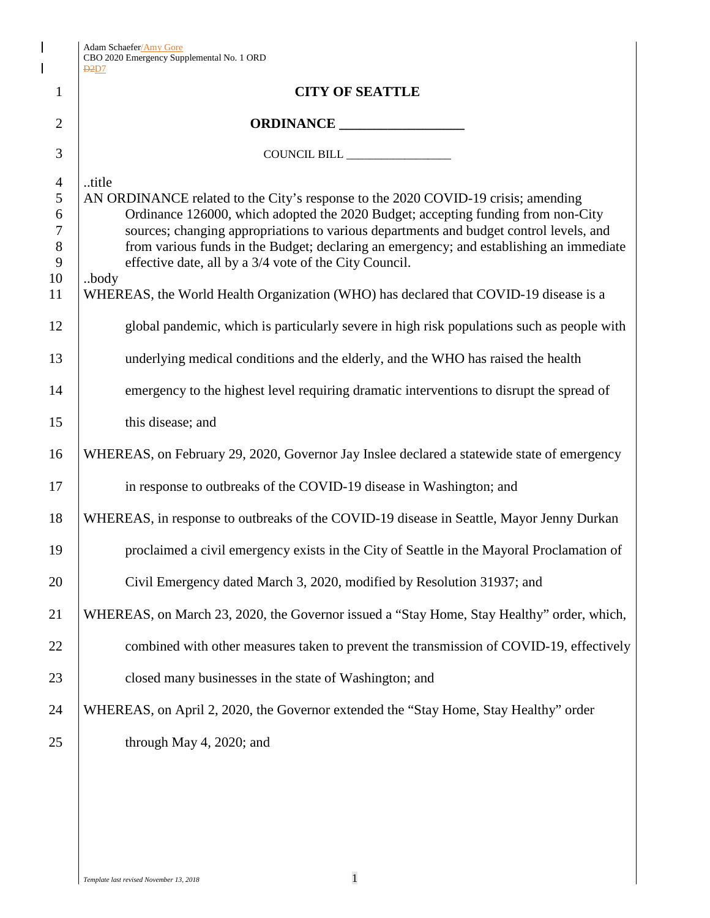|                                                                     | <b>Adam Schaefer/Amy Gore</b><br>CBO 2020 Emergency Supplemental No. 1 ORD<br>D2D7                                                                                                                                                                                                                                                                                                                                                                                                                                                                                                                                                                                                                              |  |  |  |  |
|---------------------------------------------------------------------|-----------------------------------------------------------------------------------------------------------------------------------------------------------------------------------------------------------------------------------------------------------------------------------------------------------------------------------------------------------------------------------------------------------------------------------------------------------------------------------------------------------------------------------------------------------------------------------------------------------------------------------------------------------------------------------------------------------------|--|--|--|--|
| $\mathbf{1}$                                                        | <b>CITY OF SEATTLE</b>                                                                                                                                                                                                                                                                                                                                                                                                                                                                                                                                                                                                                                                                                          |  |  |  |  |
| 2                                                                   | ORDINANCE                                                                                                                                                                                                                                                                                                                                                                                                                                                                                                                                                                                                                                                                                                       |  |  |  |  |
| 3                                                                   | COUNCIL BILL                                                                                                                                                                                                                                                                                                                                                                                                                                                                                                                                                                                                                                                                                                    |  |  |  |  |
| $\overline{4}$<br>5<br>6<br>7<br>$8\,$<br>9<br>10<br>11<br>12<br>13 | title<br>AN ORDINANCE related to the City's response to the 2020 COVID-19 crisis; amending<br>Ordinance 126000, which adopted the 2020 Budget; accepting funding from non-City<br>sources; changing appropriations to various departments and budget control levels, and<br>from various funds in the Budget; declaring an emergency; and establishing an immediate<br>effective date, all by a 3/4 vote of the City Council.<br>body<br>WHEREAS, the World Health Organization (WHO) has declared that COVID-19 disease is a<br>global pandemic, which is particularly severe in high risk populations such as people with<br>underlying medical conditions and the elderly, and the WHO has raised the health |  |  |  |  |
| 14                                                                  | emergency to the highest level requiring dramatic interventions to disrupt the spread of                                                                                                                                                                                                                                                                                                                                                                                                                                                                                                                                                                                                                        |  |  |  |  |
| 15                                                                  | this disease; and                                                                                                                                                                                                                                                                                                                                                                                                                                                                                                                                                                                                                                                                                               |  |  |  |  |
| 16                                                                  | WHEREAS, on February 29, 2020, Governor Jay Inslee declared a statewide state of emergency                                                                                                                                                                                                                                                                                                                                                                                                                                                                                                                                                                                                                      |  |  |  |  |
| 17                                                                  | in response to outbreaks of the COVID-19 disease in Washington; and                                                                                                                                                                                                                                                                                                                                                                                                                                                                                                                                                                                                                                             |  |  |  |  |
| 18                                                                  | WHEREAS, in response to outbreaks of the COVID-19 disease in Seattle, Mayor Jenny Durkan                                                                                                                                                                                                                                                                                                                                                                                                                                                                                                                                                                                                                        |  |  |  |  |
| 19                                                                  | proclaimed a civil emergency exists in the City of Seattle in the Mayoral Proclamation of                                                                                                                                                                                                                                                                                                                                                                                                                                                                                                                                                                                                                       |  |  |  |  |
| 20                                                                  | Civil Emergency dated March 3, 2020, modified by Resolution 31937; and                                                                                                                                                                                                                                                                                                                                                                                                                                                                                                                                                                                                                                          |  |  |  |  |
| 21                                                                  | WHEREAS, on March 23, 2020, the Governor issued a "Stay Home, Stay Healthy" order, which,                                                                                                                                                                                                                                                                                                                                                                                                                                                                                                                                                                                                                       |  |  |  |  |
| 22                                                                  | combined with other measures taken to prevent the transmission of COVID-19, effectively                                                                                                                                                                                                                                                                                                                                                                                                                                                                                                                                                                                                                         |  |  |  |  |
| 23                                                                  | closed many businesses in the state of Washington; and                                                                                                                                                                                                                                                                                                                                                                                                                                                                                                                                                                                                                                                          |  |  |  |  |
| 24                                                                  | WHEREAS, on April 2, 2020, the Governor extended the "Stay Home, Stay Healthy" order                                                                                                                                                                                                                                                                                                                                                                                                                                                                                                                                                                                                                            |  |  |  |  |
| 25                                                                  | through May 4, 2020; and                                                                                                                                                                                                                                                                                                                                                                                                                                                                                                                                                                                                                                                                                        |  |  |  |  |

 $\mathsf I$  $\overline{\phantom{a}}$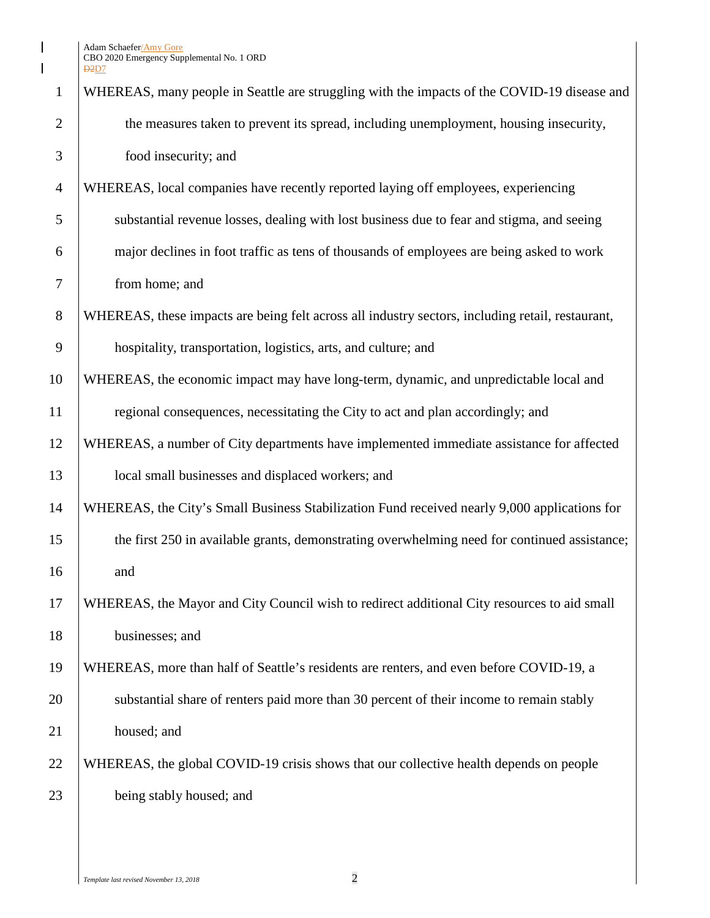$\begin{array}{c} \hline \end{array}$  $\overline{\mathbf{I}}$ 

| $\mathbf{1}$   | WHEREAS, many people in Seattle are struggling with the impacts of the COVID-19 disease and      |
|----------------|--------------------------------------------------------------------------------------------------|
| 2              | the measures taken to prevent its spread, including unemployment, housing insecurity,            |
| 3              | food insecurity; and                                                                             |
| $\overline{4}$ | WHEREAS, local companies have recently reported laying off employees, experiencing               |
| 5              | substantial revenue losses, dealing with lost business due to fear and stigma, and seeing        |
| 6              | major declines in foot traffic as tens of thousands of employees are being asked to work         |
| 7              | from home; and                                                                                   |
| 8              | WHEREAS, these impacts are being felt across all industry sectors, including retail, restaurant, |
| 9              | hospitality, transportation, logistics, arts, and culture; and                                   |
| 10             | WHEREAS, the economic impact may have long-term, dynamic, and unpredictable local and            |
| 11             | regional consequences, necessitating the City to act and plan accordingly; and                   |
| 12             | WHEREAS, a number of City departments have implemented immediate assistance for affected         |
| 13             | local small businesses and displaced workers; and                                                |
| 14             | WHEREAS, the City's Small Business Stabilization Fund received nearly 9,000 applications for     |
| 15             | the first 250 in available grants, demonstrating overwhelming need for continued assistance;     |
| 16             | and                                                                                              |
| 17             | WHEREAS, the Mayor and City Council wish to redirect additional City resources to aid small      |
| 18             | businesses; and                                                                                  |
| 19             | WHEREAS, more than half of Seattle's residents are renters, and even before COVID-19, a          |
| 20             | substantial share of renters paid more than 30 percent of their income to remain stably          |
| 21             | housed; and                                                                                      |
| 22             | WHEREAS, the global COVID-19 crisis shows that our collective health depends on people           |
| 23             | being stably housed; and                                                                         |
|                |                                                                                                  |

*Template last revised November 13, 2018* 2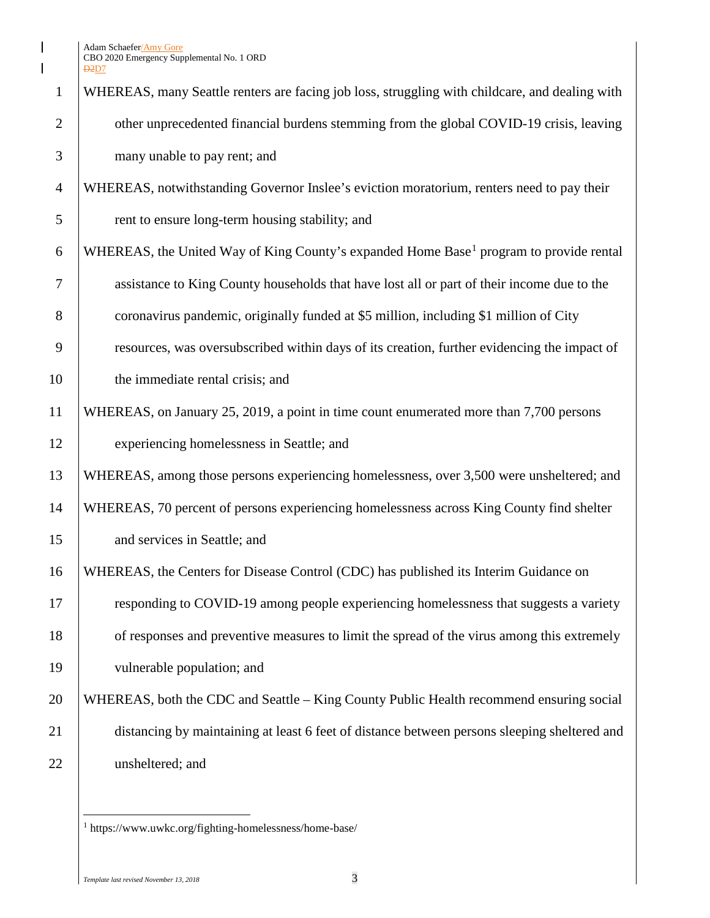Adam Schaefer/Amy Gore CBO 2020 Emergency Supplemental No. 1 ORD D2D7

 $\mathbf{I}$  $\overline{\phantom{a}}$ 

|                | <u>נע</u> בט                                                                                       |
|----------------|----------------------------------------------------------------------------------------------------|
| $\mathbf{1}$   | WHEREAS, many Seattle renters are facing job loss, struggling with childcare, and dealing with     |
| $\overline{2}$ | other unprecedented financial burdens stemming from the global COVID-19 crisis, leaving            |
| 3              | many unable to pay rent; and                                                                       |
| $\overline{4}$ | WHEREAS, notwithstanding Governor Inslee's eviction moratorium, renters need to pay their          |
| 5              | rent to ensure long-term housing stability; and                                                    |
| 6              | WHEREAS, the United Way of King County's expanded Home Base <sup>1</sup> program to provide rental |
| $\overline{7}$ | assistance to King County households that have lost all or part of their income due to the         |
| 8              | coronavirus pandemic, originally funded at \$5 million, including \$1 million of City              |
| 9              | resources, was oversubscribed within days of its creation, further evidencing the impact of        |
| 10             | the immediate rental crisis; and                                                                   |
| 11             | WHEREAS, on January 25, 2019, a point in time count enumerated more than 7,700 persons             |
| 12             | experiencing homelessness in Seattle; and                                                          |
| 13             | WHEREAS, among those persons experiencing homelessness, over 3,500 were unsheltered; and           |
| 14             | WHEREAS, 70 percent of persons experiencing homelessness across King County find shelter           |
| 15             | and services in Seattle; and                                                                       |
| 16             | WHEREAS, the Centers for Disease Control (CDC) has published its Interim Guidance on               |
| 17             | responding to COVID-19 among people experiencing homelessness that suggests a variety              |
| 18             | of responses and preventive measures to limit the spread of the virus among this extremely         |
| 19             | vulnerable population; and                                                                         |
| 20             | WHEREAS, both the CDC and Seattle – King County Public Health recommend ensuring social            |
| 21             | distancing by maintaining at least 6 feet of distance between persons sleeping sheltered and       |
| 22             | unsheltered; and                                                                                   |
|                |                                                                                                    |

<span id="page-2-0"></span> $^{\rm 1}$ https://www.uwkc.org/fighting-homelessness/home-base/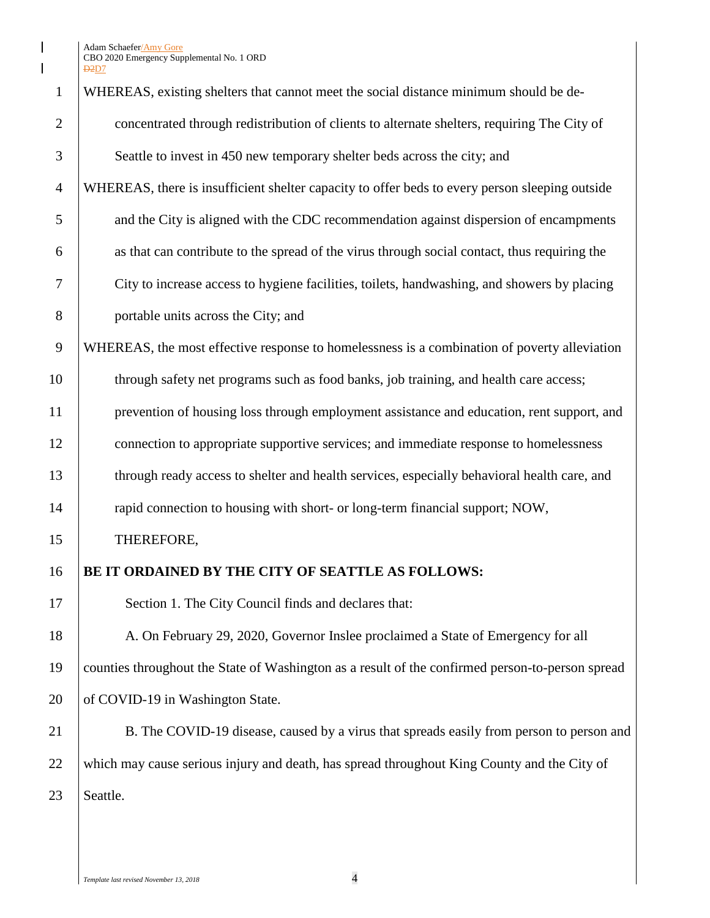Adam Schaefer/Amy Gore CBO 2020 Emergency Supplemental No. 1 ORD D<sub>2</sub>D<sub>7</sub>

| $\mathbf{1}$   | WHEREAS, existing shelters that cannot meet the social distance minimum should be de-            |
|----------------|--------------------------------------------------------------------------------------------------|
| $\overline{2}$ | concentrated through redistribution of clients to alternate shelters, requiring The City of      |
| 3              | Seattle to invest in 450 new temporary shelter beds across the city; and                         |
| $\overline{4}$ | WHEREAS, there is insufficient shelter capacity to offer beds to every person sleeping outside   |
| 5              | and the City is aligned with the CDC recommendation against dispersion of encampments            |
| 6              | as that can contribute to the spread of the virus through social contact, thus requiring the     |
| 7              | City to increase access to hygiene facilities, toilets, handwashing, and showers by placing      |
| 8              | portable units across the City; and                                                              |
| 9              | WHEREAS, the most effective response to homelessness is a combination of poverty alleviation     |
| 10             | through safety net programs such as food banks, job training, and health care access;            |
| 11             | prevention of housing loss through employment assistance and education, rent support, and        |
| 12             | connection to appropriate supportive services; and immediate response to homelessness            |
| 13             | through ready access to shelter and health services, especially behavioral health care, and      |
| 14             | rapid connection to housing with short- or long-term financial support; NOW,                     |
| 15             | THEREFORE,                                                                                       |
| 16             | BE IT ORDAINED BY THE CITY OF SEATTLE AS FOLLOWS:                                                |
| 17             | Section 1. The City Council finds and declares that:                                             |
| 18             | A. On February 29, 2020, Governor Inslee proclaimed a State of Emergency for all                 |
| 19             | counties throughout the State of Washington as a result of the confirmed person-to-person spread |
| 20             | of COVID-19 in Washington State.                                                                 |
| 21             | B. The COVID-19 disease, caused by a virus that spreads easily from person to person and         |
| 22             | which may cause serious injury and death, has spread throughout King County and the City of      |
| 23             | Seattle.                                                                                         |
|                |                                                                                                  |

 $\begin{array}{c} \hline \end{array}$  $\overline{\phantom{a}}$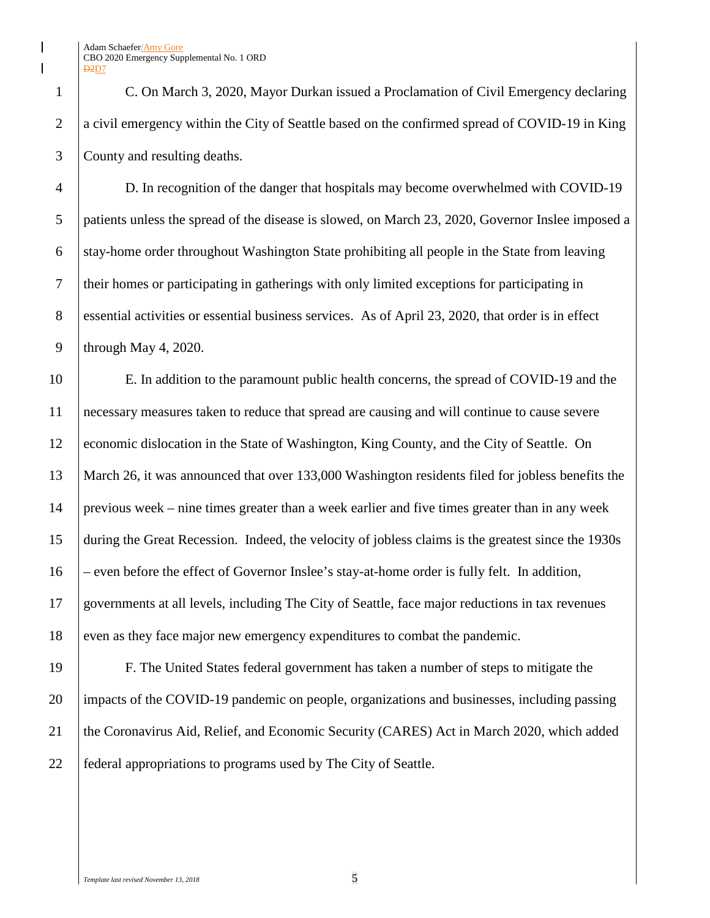C. On March 3, 2020, Mayor Durkan issued a Proclamation of Civil Emergency declaring 2 a civil emergency within the City of Seattle based on the confirmed spread of COVID-19 in King County and resulting deaths.

 D. In recognition of the danger that hospitals may become overwhelmed with COVID-19 patients unless the spread of the disease is slowed, on March 23, 2020, Governor Inslee imposed a stay-home order throughout Washington State prohibiting all people in the State from leaving their homes or participating in gatherings with only limited exceptions for participating in 8 essential activities or essential business services. As of April 23, 2020, that order is in effect 9 | through May 4, 2020.

 E. In addition to the paramount public health concerns, the spread of COVID-19 and the necessary measures taken to reduce that spread are causing and will continue to cause severe economic dislocation in the State of Washington, King County, and the City of Seattle. On March 26, it was announced that over 133,000 Washington residents filed for jobless benefits the previous week – nine times greater than a week earlier and five times greater than in any week during the Great Recession. Indeed, the velocity of jobless claims is the greatest since the 1930s – even before the effect of Governor Inslee's stay-at-home order is fully felt. In addition, governments at all levels, including The City of Seattle, face major reductions in tax revenues 18 even as they face major new emergency expenditures to combat the pandemic.

 F. The United States federal government has taken a number of steps to mitigate the impacts of the COVID-19 pandemic on people, organizations and businesses, including passing the Coronavirus Aid, Relief, and Economic Security (CARES) Act in March 2020, which added federal appropriations to programs used by The City of Seattle.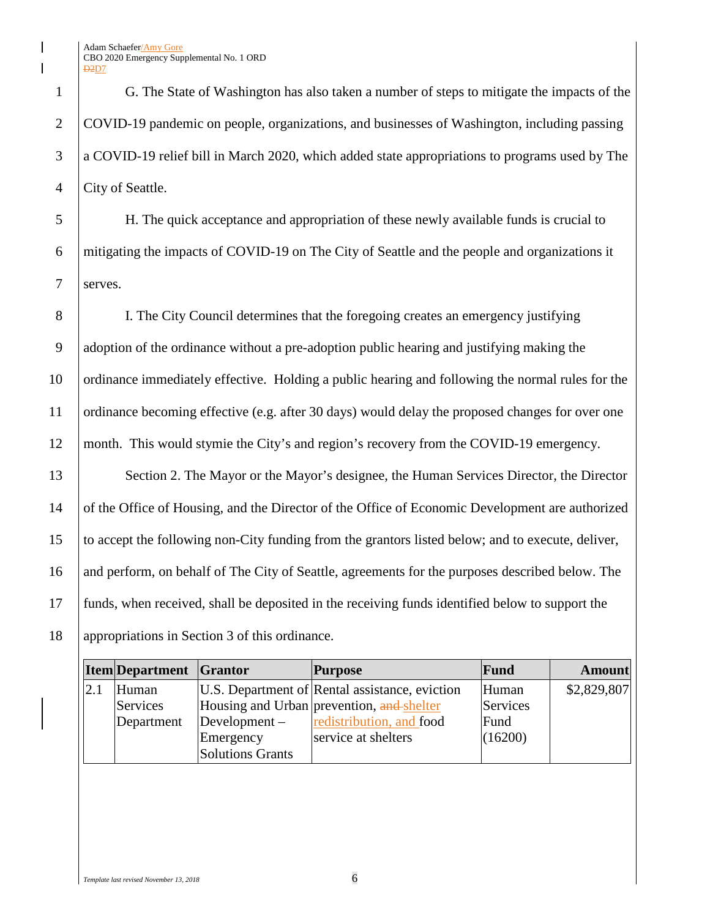Adam Schaefer/Amy Gore CBO 2020 Emergency Supplemental No. 1 ORD **D2D7** 

 G. The State of Washington has also taken a number of steps to mitigate the impacts of the COVID-19 pandemic on people, organizations, and businesses of Washington, including passing a COVID-19 relief bill in March 2020, which added state appropriations to programs used by The 4 | City of Seattle.

5 H. The quick acceptance and appropriation of these newly available funds is crucial to 6 mitigating the impacts of COVID-19 on The City of Seattle and the people and organizations it 7 serves.

 I. The City Council determines that the foregoing creates an emergency justifying adoption of the ordinance without a pre-adoption public hearing and justifying making the ordinance immediately effective. Holding a public hearing and following the normal rules for the 11 ordinance becoming effective (e.g. after 30 days) would delay the proposed changes for over one month. This would stymie the City's and region's recovery from the COVID-19 emergency.

13 Section 2. The Mayor or the Mayor's designee, the Human Services Director, the Director of the Office of Housing, and the Director of the Office of Economic Development are authorized to accept the following non-City funding from the grantors listed below; and to execute, deliver, and perform, on behalf of The City of Seattle, agreements for the purposes described below. The funds, when received, shall be deposited in the receiving funds identified below to support the appropriations in Section 3 of this ordinance.

| <b>Item</b> Department Grantor |                         | <b>Purpose</b>                                 | Fund     | <b>Amount</b> |
|--------------------------------|-------------------------|------------------------------------------------|----------|---------------|
| Human                          |                         | U.S. Department of Rental assistance, eviction | Human    | \$2,829,807   |
| Services                       |                         | Housing and Urban prevention, and shelter      | Services |               |
| Department                     | $Development -$         | redistribution, and food                       | Fund     |               |
|                                | Emergency               | service at shelters                            | (16200)  |               |
|                                | <b>Solutions Grants</b> |                                                |          |               |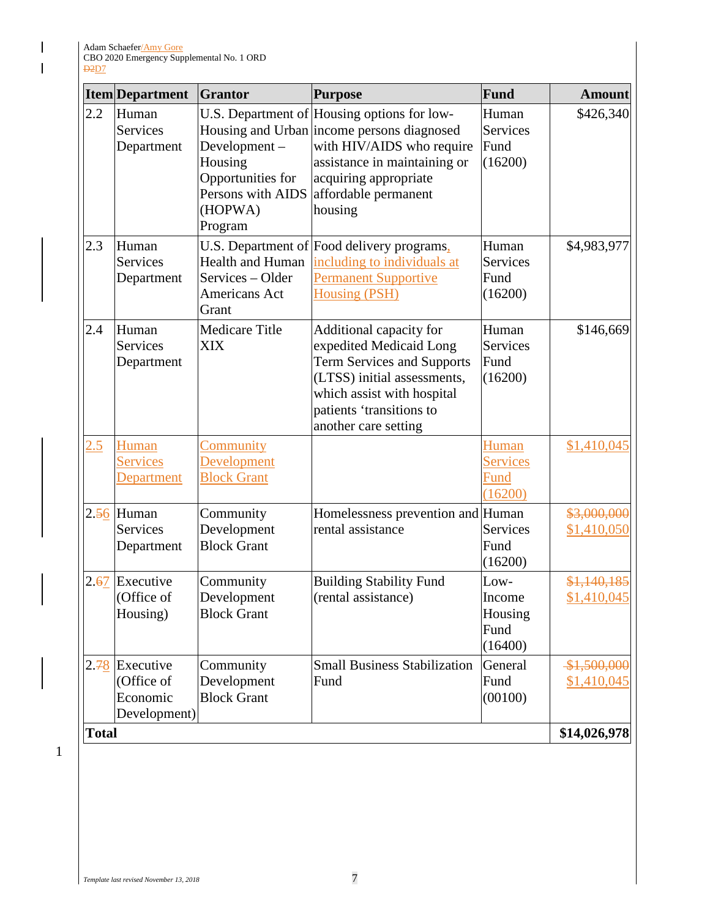$\begin{array}{c} \hline \end{array}$  $\mathbf I$ 

|      | <b>Item</b> Department                              | <b>Grantor</b>                                                                          | <b>Purpose</b>                                                                                                                                                                                                     | Fund                                         | <b>Amount</b>              |  |
|------|-----------------------------------------------------|-----------------------------------------------------------------------------------------|--------------------------------------------------------------------------------------------------------------------------------------------------------------------------------------------------------------------|----------------------------------------------|----------------------------|--|
| 2.2  | Human<br>Services<br>Department                     | Development-<br>Housing<br>Opportunities for<br>Persons with AIDS<br>(HOPWA)<br>Program | U.S. Department of Housing options for low-<br>Housing and Urban income persons diagnosed<br>with HIV/AIDS who require<br>assistance in maintaining or<br>acquiring appropriate<br>affordable permanent<br>housing | Human<br><b>Services</b><br>Fund<br>(16200)  | \$426,340                  |  |
| 2.3  | Human<br><b>Services</b><br>Department              | Health and Human<br>Services - Older<br>Americans Act<br>Grant                          | U.S. Department of Food delivery programs,<br>including to individuals at<br><b>Permanent Supportive</b><br><b>Housing (PSH)</b>                                                                                   | Human<br><b>Services</b><br>Fund<br>(16200)  | \$4,983,977                |  |
| 2.4  | Human<br><b>Services</b><br>Department              | <b>Medicare Title</b><br><b>XIX</b>                                                     | Additional capacity for<br>expedited Medicaid Long<br><b>Term Services and Supports</b><br>(LTSS) initial assessments,<br>which assist with hospital<br>patients 'transitions to<br>another care setting           | Human<br><b>Services</b><br>Fund<br>(16200)  | \$146,669                  |  |
| 2.5  | Human<br><b>Services</b><br>Department              | <b>Community</b><br>Development<br><b>Block Grant</b>                                   |                                                                                                                                                                                                                    | Human<br><b>Services</b><br>Fund<br>(16200)  | \$1,410,045                |  |
|      | $2.56$ Human<br>Services<br>Department              | Community<br>Development<br><b>Block Grant</b>                                          | Homelessness prevention and Human<br>rental assistance                                                                                                                                                             | <b>Services</b><br>Fund<br>(16200)           | \$3,000,000<br>\$1,410,050 |  |
| 2.67 | Executive<br>(Office of<br>Housing)                 | Community<br>Development<br><b>Block Grant</b>                                          | <b>Building Stability Fund</b><br>(rental assistance)                                                                                                                                                              | Low-<br>Income<br>Housing<br>Fund<br>(16400) | \$1,140,185<br>\$1,410,045 |  |
| 2.78 | Executive<br>(Office of<br>Economic<br>Development) | Community<br>Development<br><b>Block Grant</b>                                          | <b>Small Business Stabilization</b><br>Fund                                                                                                                                                                        | General<br>Fund<br>(00100)                   | \$1,500,000<br>\$1,410,045 |  |
|      | \$14,026,978<br><b>Total</b>                        |                                                                                         |                                                                                                                                                                                                                    |                                              |                            |  |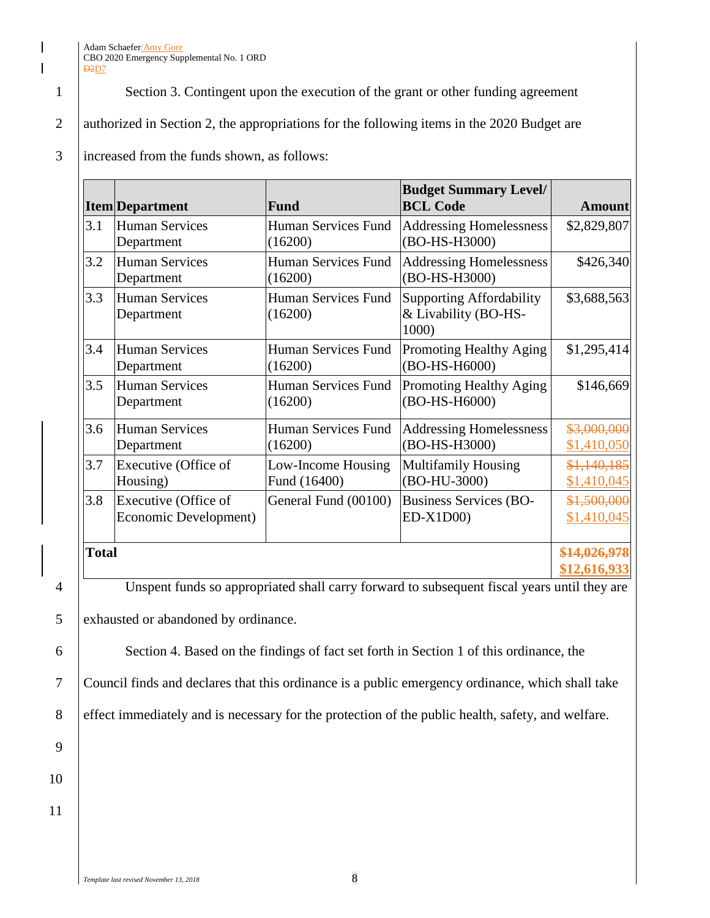## Adam Schaefer/Amy Gore CBO 2020 Emergency Supplemental No. 1 ORD **D2D7**

1 Section 3. Contingent upon the execution of the grant or other funding agreement

2 authorized in Section 2, the appropriations for the following items in the 2020 Budget are

## 3 increased from the funds shown, as follows:

|              | <b>Item</b> Department                        | Fund                               | <b>Budget Summary Level/</b><br><b>BCL Code</b>                  | <b>Amount</b>                                          |
|--------------|-----------------------------------------------|------------------------------------|------------------------------------------------------------------|--------------------------------------------------------|
| 3.1          | <b>Human Services</b><br>Department           | Human Services Fund<br>(16200)     | <b>Addressing Homelessness</b><br>(BO-HS-H3000)                  | \$2,829,807                                            |
| 3.2          | <b>Human Services</b><br>Department           | Human Services Fund<br>(16200)     | <b>Addressing Homelessness</b><br>(BO-HS-H3000)                  | \$426,340                                              |
| 3.3          | <b>Human Services</b><br>Department           | Human Services Fund<br>(16200)     | <b>Supporting Affordability</b><br>& Livability (BO-HS-<br>1000) | \$3,688,563                                            |
| 3.4          | <b>Human Services</b><br>Department           | Human Services Fund<br>(16200)     | Promoting Healthy Aging<br>(BO-HS-H6000)                         | \$1,295,414                                            |
| 3.5          | <b>Human Services</b><br>Department           | Human Services Fund<br>(16200)     | Promoting Healthy Aging<br>(BO-HS-H6000)                         | \$146,669                                              |
| 3.6          | <b>Human Services</b><br>Department           | Human Services Fund<br>(16200)     | <b>Addressing Homelessness</b><br>(BO-HS-H3000)                  | \$3,000,000<br>\$1,410,050                             |
| 3.7          | Executive (Office of<br>Housing)              | Low-Income Housing<br>Fund (16400) | <b>Multifamily Housing</b><br>(BO-HU-3000)                       | \$1,140,185<br>\$1,410,045                             |
| 3.8          | Executive (Office of<br>Economic Development) | General Fund (00100)               | <b>Business Services (BO-</b><br>$ED-X1D00$                      | \$1,500,000<br>\$1,410,045                             |
| <b>Total</b> | $\sqrt{c}$ 1<br><b>TT</b>                     | 1.111<br>$\mathbf{C}$              | $\sim$ $\sim$<br>1.11<br>$\mathbf{1}$<br>$\blacksquare$          | <del>\$14,026,978</del><br>\$12,616,933<br>$1.11 - 11$ |

4 Unspent funds so appropriated shall carry forward to subsequent fiscal years until they are

5 exhausted or abandoned by ordinance.

6 Section 4. Based on the findings of fact set forth in Section 1 of this ordinance, the

7 Council finds and declares that this ordinance is a public emergency ordinance, which shall take

8 effect immediately and is necessary for the protection of the public health, safety, and welfare.

 $\mathsf{l}$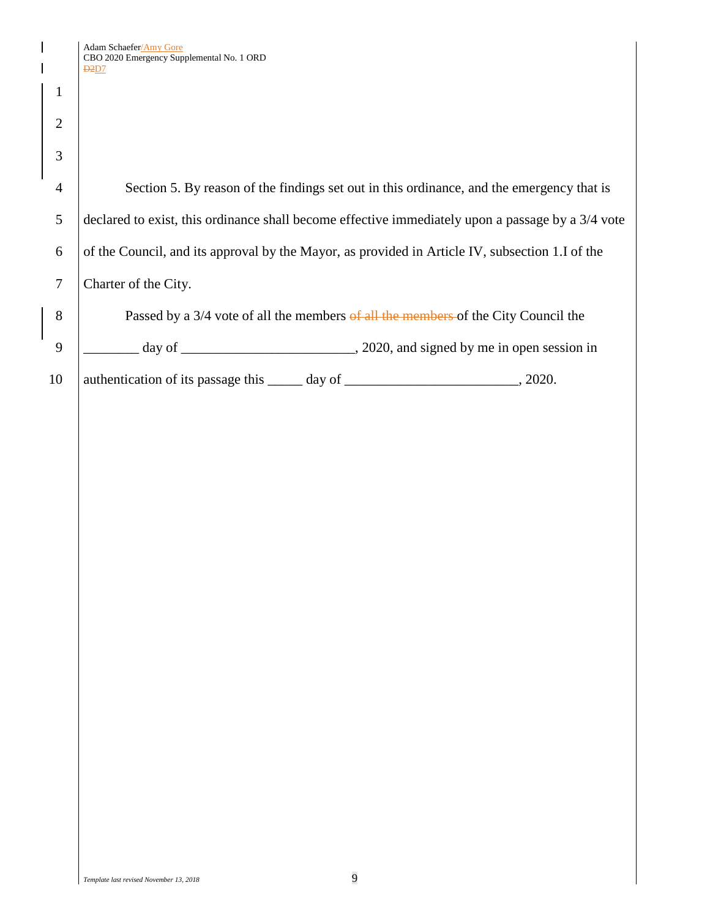1

2

3

 Section 5. By reason of the findings set out in this ordinance, and the emergency that is 5 declared to exist, this ordinance shall become effective immediately upon a passage by a 3/4 vote  $\vert$  of the Council, and its approval by the Mayor, as provided in Article IV, subsection 1.I of the Charter of the City. **Passed by a 3/4 vote of all the members of all the members of the City Council the** 

 $9 \mid$   $\frac{1}{2020}$  day of  $\frac{1}{2020}$ , and signed by me in open session in

10 | authentication of its passage this \_\_\_\_\_ day of \_\_\_\_\_\_\_\_\_\_\_\_\_\_\_\_\_\_\_\_\_\_, 2020.